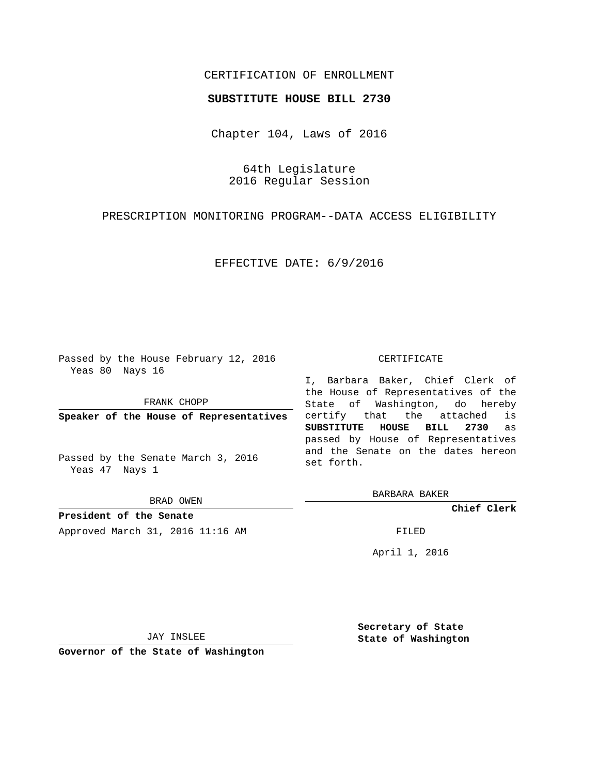## CERTIFICATION OF ENROLLMENT

## **SUBSTITUTE HOUSE BILL 2730**

Chapter 104, Laws of 2016

64th Legislature 2016 Regular Session

PRESCRIPTION MONITORING PROGRAM--DATA ACCESS ELIGIBILITY

EFFECTIVE DATE: 6/9/2016

Passed by the House February 12, 2016 Yeas 80 Nays 16

FRANK CHOPP

**Speaker of the House of Representatives**

Passed by the Senate March 3, 2016 Yeas 47 Nays 1

BRAD OWEN

**President of the Senate** Approved March 31, 2016 11:16 AM FILED

## CERTIFICATE

I, Barbara Baker, Chief Clerk of the House of Representatives of the State of Washington, do hereby certify that the attached is **SUBSTITUTE HOUSE BILL 2730** as passed by House of Representatives and the Senate on the dates hereon set forth.

BARBARA BAKER

**Chief Clerk**

April 1, 2016

JAY INSLEE

**Governor of the State of Washington**

**Secretary of State State of Washington**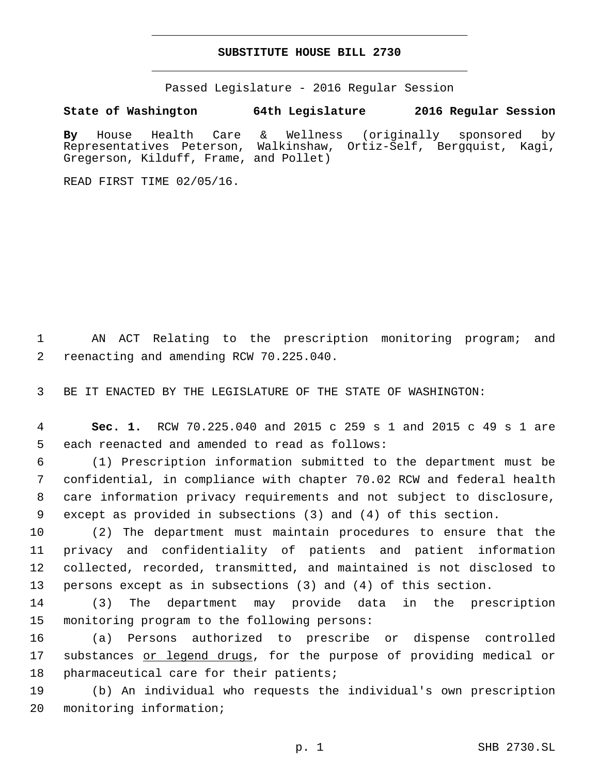## **SUBSTITUTE HOUSE BILL 2730**

Passed Legislature - 2016 Regular Session

**State of Washington 64th Legislature 2016 Regular Session**

**By** House Health Care & Wellness (originally sponsored by Representatives Peterson, Walkinshaw, Ortiz-Self, Bergquist, Kagi, Gregerson, Kilduff, Frame, and Pollet)

READ FIRST TIME 02/05/16.

1 AN ACT Relating to the prescription monitoring program; and 2 reenacting and amending RCW 70.225.040.

3 BE IT ENACTED BY THE LEGISLATURE OF THE STATE OF WASHINGTON:

4 **Sec. 1.** RCW 70.225.040 and 2015 c 259 s 1 and 2015 c 49 s 1 are 5 each reenacted and amended to read as follows:

 (1) Prescription information submitted to the department must be confidential, in compliance with chapter 70.02 RCW and federal health care information privacy requirements and not subject to disclosure, except as provided in subsections (3) and (4) of this section.

 (2) The department must maintain procedures to ensure that the privacy and confidentiality of patients and patient information collected, recorded, transmitted, and maintained is not disclosed to persons except as in subsections (3) and (4) of this section.

14 (3) The department may provide data in the prescription 15 monitoring program to the following persons:

16 (a) Persons authorized to prescribe or dispense controlled 17 substances or legend drugs, for the purpose of providing medical or 18 pharmaceutical care for their patients;

19 (b) An individual who requests the individual's own prescription 20 monitoring information;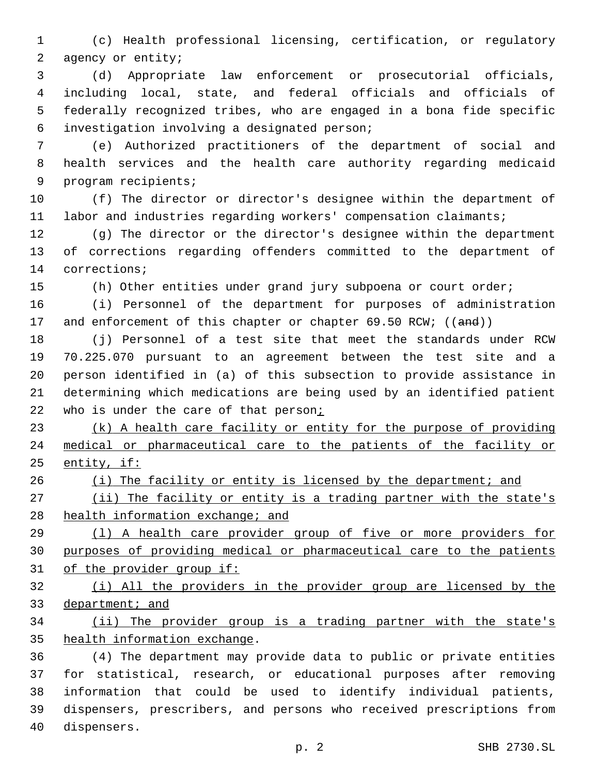(c) Health professional licensing, certification, or regulatory 2 agency or entity;

 (d) Appropriate law enforcement or prosecutorial officials, including local, state, and federal officials and officials of federally recognized tribes, who are engaged in a bona fide specific investigation involving a designated person;6

 (e) Authorized practitioners of the department of social and health services and the health care authority regarding medicaid 9 program recipients;

 (f) The director or director's designee within the department of labor and industries regarding workers' compensation claimants;

 (g) The director or the director's designee within the department of corrections regarding offenders committed to the department of 14 corrections;

(h) Other entities under grand jury subpoena or court order;

 (i) Personnel of the department for purposes of administration 17 and enforcement of this chapter or chapter 69.50 RCW; ((and))

 (j) Personnel of a test site that meet the standards under RCW 70.225.070 pursuant to an agreement between the test site and a person identified in (a) of this subsection to provide assistance in determining which medications are being used by an identified patient 22 who is under the care of that person;

23 (k) A health care facility or entity for the purpose of providing medical or pharmaceutical care to the patients of the facility or 25 entity, if:

26 (i) The facility or entity is licensed by the department; and

27 (ii) The facility or entity is a trading partner with the state's 28 health information exchange; and

 (l) A health care provider group of five or more providers for purposes of providing medical or pharmaceutical care to the patients of the provider group if:

 (i) All the providers in the provider group are licensed by the 33 department; and

 (ii) The provider group is a trading partner with the state's 35 health information exchange.

 (4) The department may provide data to public or private entities for statistical, research, or educational purposes after removing information that could be used to identify individual patients, dispensers, prescribers, and persons who received prescriptions from 40 dispensers.